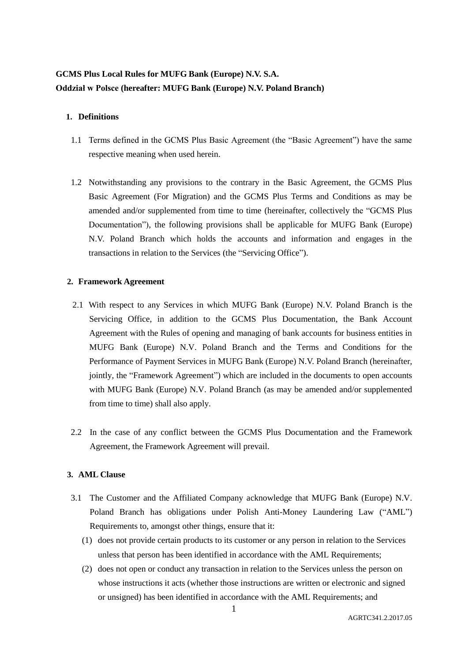# **GCMS Plus Local Rules for MUFG Bank (Europe) N.V. S.A. Oddział w Polsce (hereafter: MUFG Bank (Europe) N.V. Poland Branch)**

## **1. Definitions**

- 1.1 Terms defined in the GCMS Plus Basic Agreement (the "Basic Agreement") have the same respective meaning when used herein.
- 1.2 Notwithstanding any provisions to the contrary in the Basic Agreement, the GCMS Plus Basic Agreement (For Migration) and the GCMS Plus Terms and Conditions as may be amended and/or supplemented from time to time (hereinafter, collectively the "GCMS Plus Documentation"), the following provisions shall be applicable for MUFG Bank (Europe) N.V. Poland Branch which holds the accounts and information and engages in the transactions in relation to the Services (the "Servicing Office").

### **2. Framework Agreement**

- 2.1 With respect to any Services in which MUFG Bank (Europe) N.V. Poland Branch is the Servicing Office, in addition to the GCMS Plus Documentation, the Bank Account Agreement with the Rules of opening and managing of bank accounts for business entities in MUFG Bank (Europe) N.V. Poland Branch and the Terms and Conditions for the Performance of Payment Services in MUFG Bank (Europe) N.V. Poland Branch (hereinafter, jointly, the "Framework Agreement") which are included in the documents to open accounts with MUFG Bank (Europe) N.V. Poland Branch (as may be amended and/or supplemented from time to time) shall also apply.
- 2.2 In the case of any conflict between the GCMS Plus Documentation and the Framework Agreement, the Framework Agreement will prevail.

### **3. AML Clause**

- 3.1 The Customer and the Affiliated Company acknowledge that MUFG Bank (Europe) N.V. Poland Branch has obligations under Polish Anti-Money Laundering Law ("AML") Requirements to, amongst other things, ensure that it:
	- (1) does not provide certain products to its customer or any person in relation to the Services unless that person has been identified in accordance with the AML Requirements;
	- (2) does not open or conduct any transaction in relation to the Services unless the person on whose instructions it acts (whether those instructions are written or electronic and signed or unsigned) has been identified in accordance with the AML Requirements; and